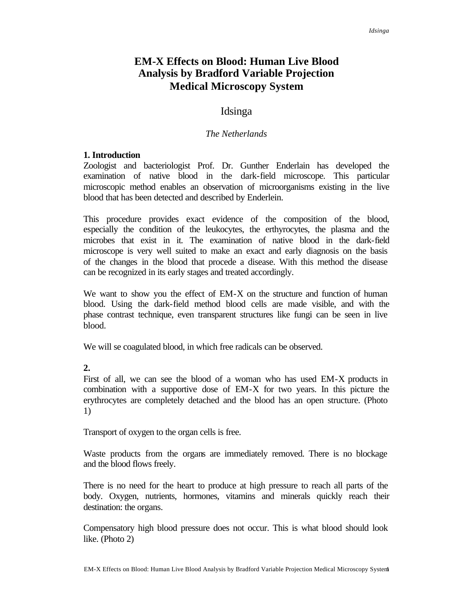# **EM-X Effects on Blood: Human Live Blood Analysis by Bradford Variable Projection Medical Microscopy System**

## Idsinga

#### *The Netherlands*

#### **1. Introduction**

Zoologist and bacteriologist Prof. Dr. Gunther Enderlain has developed the examination of native blood in the dark-field microscope. This particular microscopic method enables an observation of microorganisms existing in the live blood that has been detected and described by Enderlein.

This procedure provides exact evidence of the composition of the blood, especially the condition of the leukocytes, the erthyrocytes, the plasma and the microbes that exist in it. The examination of native blood in the dark-field microscope is very well suited to make an exact and early diagnosis on the basis of the changes in the blood that procede a disease. With this method the disease can be recognized in its early stages and treated accordingly.

We want to show you the effect of EM-X on the structure and function of human blood. Using the dark-field method blood cells are made visible, and with the phase contrast technique, even transparent structures like fungi can be seen in live blood.

We will se coagulated blood, in which free radicals can be observed.

**2.** 

First of all, we can see the blood of a woman who has used EM-X products in combination with a supportive dose of EM-X for two years. In this picture the erythrocytes are completely detached and the blood has an open structure. (Photo 1)

Transport of oxygen to the organ cells is free.

Waste products from the organs are immediately removed. There is no blockage and the blood flows freely.

There is no need for the heart to produce at high pressure to reach all parts of the body. Oxygen, nutrients, hormones, vitamins and minerals quickly reach their destination: the organs.

Compensatory high blood pressure does not occur. This is what blood should look like. (Photo 2)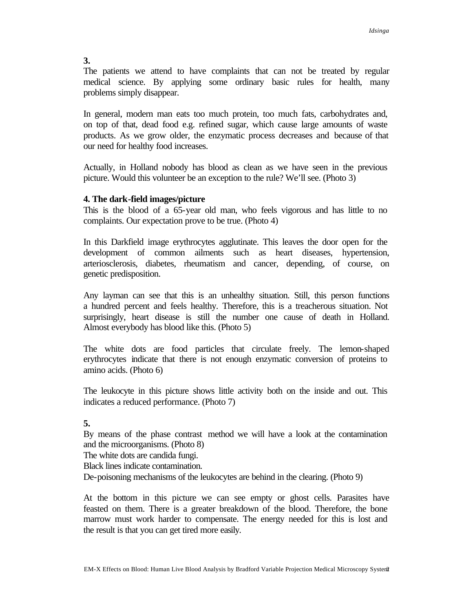The patients we attend to have complaints that can not be treated by regular medical science. By applying some ordinary basic rules for health, many problems simply disappear.

In general, modern man eats too much protein, too much fats, carbohydrates and, on top of that, dead food e.g. refined sugar, which cause large amounts of waste products. As we grow older, the enzymatic process decreases and because of that our need for healthy food increases.

Actually, in Holland nobody has blood as clean as we have seen in the previous picture. Would this volunteer be an exception to the rule? We'll see. (Photo 3)

### **4. The dark-field images/picture**

This is the blood of a 65-year old man, who feels vigorous and has little to no complaints. Our expectation prove to be true. (Photo 4)

In this Darkfield image erythrocytes agglutinate. This leaves the door open for the development of common ailments such as heart diseases, hypertension, arteriosclerosis, diabetes, rheumatism and cancer, depending, of course, on genetic predisposition.

Any layman can see that this is an unhealthy situation. Still, this person functions a hundred percent and feels healthy. Therefore, this is a treacherous situation. Not surprisingly, heart disease is still the number one cause of death in Holland. Almost everybody has blood like this. (Photo 5)

The white dots are food particles that circulate freely. The lemon-shaped erythrocytes indicate that there is not enough enzymatic conversion of proteins to amino acids. (Photo 6)

The leukocyte in this picture shows little activity both on the inside and out. This indicates a reduced performance. (Photo 7)

### **5.**

By means of the phase contrast method we will have a look at the contamination and the microorganisms. (Photo 8)

The white dots are candida fungi.

Black lines indicate contamination.

De-poisoning mechanisms of the leukocytes are behind in the clearing. (Photo 9)

At the bottom in this picture we can see empty or ghost cells. Parasites have feasted on them. There is a greater breakdown of the blood. Therefore, the bone marrow must work harder to compensate. The energy needed for this is lost and the result is that you can get tired more easily.

#### **3.**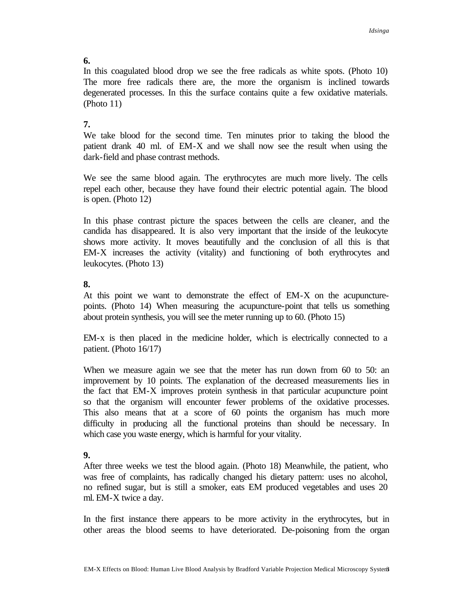## **6.**

In this coagulated blood drop we see the free radicals as white spots. (Photo 10) The more free radicals there are, the more the organism is inclined towards degenerated processes. In this the surface contains quite a few oxidative materials. (Photo 11)

# **7.**

We take blood for the second time. Ten minutes prior to taking the blood the patient drank 40 ml. of EM-X and we shall now see the result when using the dark-field and phase contrast methods.

We see the same blood again. The erythrocytes are much more lively. The cells repel each other, because they have found their electric potential again. The blood is open. (Photo 12)

In this phase contrast picture the spaces between the cells are cleaner, and the candida has disappeared. It is also very important that the inside of the leukocyte shows more activity. It moves beautifully and the conclusion of all this is that EM-X increases the activity (vitality) and functioning of both erythrocytes and leukocytes. (Photo 13)

## **8.**

At this point we want to demonstrate the effect of EM-X on the acupuncturepoints. (Photo 14) When measuring the acupuncture-point that tells us something about protein synthesis, you will see the meter running up to 60. (Photo 15)

EM-x is then placed in the medicine holder, which is electrically connected to a patient. (Photo 16/17)

When we measure again we see that the meter has run down from 60 to 50: an improvement by 10 points. The explanation of the decreased measurements lies in the fact that EM-X improves protein synthesis in that particular acupuncture point so that the organism will encounter fewer problems of the oxidative processes. This also means that at a score of 60 points the organism has much more difficulty in producing all the functional proteins than should be necessary. In which case you waste energy, which is harmful for your vitality.

# **9.**

After three weeks we test the blood again. (Photo 18) Meanwhile, the patient, who was free of complaints, has radically changed his dietary pattern: uses no alcohol, no refined sugar, but is still a smoker, eats EM produced vegetables and uses 20 ml. EM-X twice a day.

In the first instance there appears to be more activity in the erythrocytes, but in other areas the blood seems to have deteriorated. De-poisoning from the organ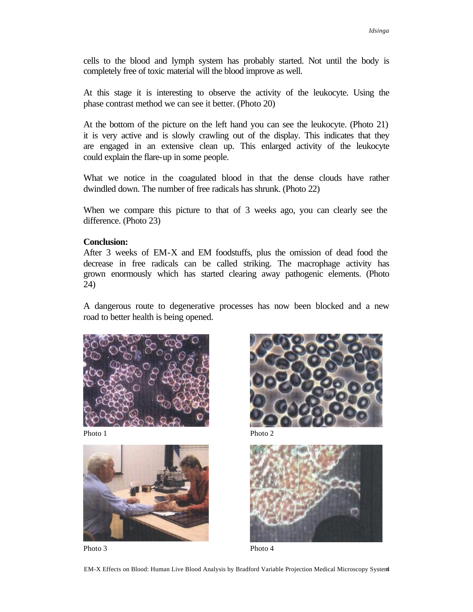cells to the blood and lymph system has probably started. Not until the body is completely free of toxic material will the blood improve as well.

At this stage it is interesting to observe the activity of the leukocyte. Using the phase contrast method we can see it better. (Photo 20)

At the bottom of the picture on the left hand you can see the leukocyte. (Photo 21) it is very active and is slowly crawling out of the display. This indicates that they are engaged in an extensive clean up. This enlarged activity of the leukocyte could explain the flare-up in some people.

What we notice in the coagulated blood in that the dense clouds have rather dwindled down. The number of free radicals has shrunk. (Photo 22)

When we compare this picture to that of 3 weeks ago, you can clearly see the difference. (Photo 23)

#### **Conclusion:**

After 3 weeks of EM-X and EM foodstuffs, plus the omission of dead food the decrease in free radicals can be called striking. The macrophage activity has grown enormously which has started clearing away pathogenic elements. (Photo 24)

A dangerous route to degenerative processes has now been blocked and a new road to better health is being opened.



Photo 1 Photo 2



Photo 3 Photo 4





EM-X Effects on Blood: Human Live Blood Analysis by Bradford Variable Projection Medical Microscopy System4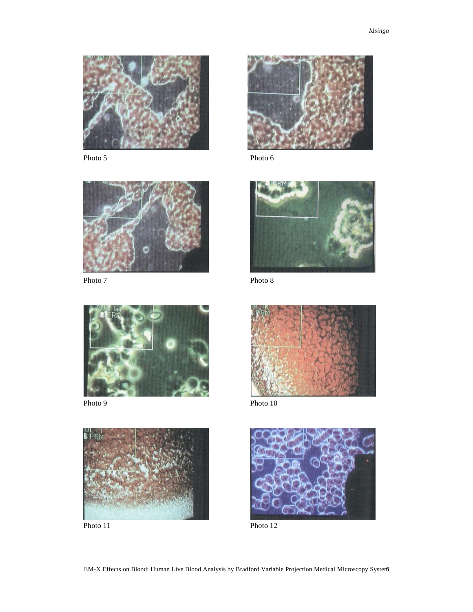



Photo 7 Photo 8











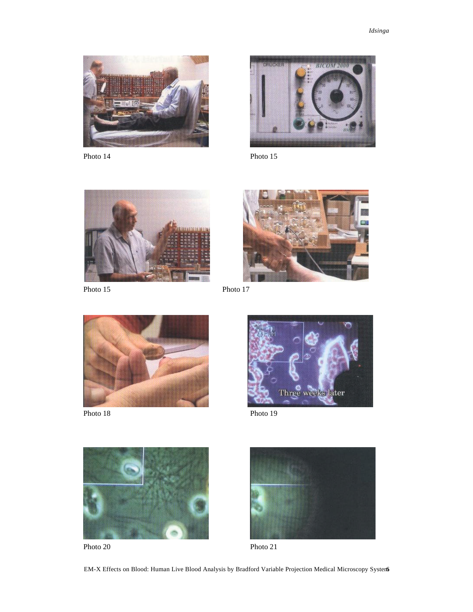













EM-X Effects on Blood: Human Live Blood Analysis by Bradford Variable Projection Medical Microscopy System6